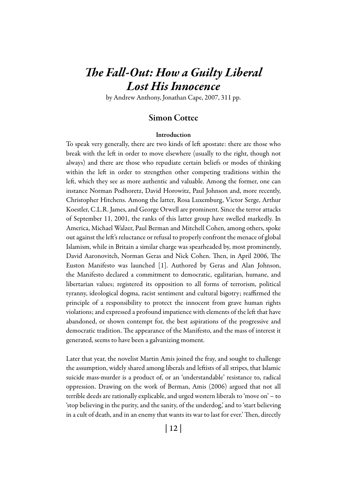# *The Fall-Out: How a Guilty Liberal Lost His Innocence*

by Andrew Anthony, Jonathan Cape, 2007, 311 pp.

# Simon Cottee

### Introduction

To speak very generally, there are two kinds of left apostate: there are those who break with the left in order to move elsewhere (usually to the right, though not always) and there are those who repudiate certain beliefs or modes of thinking within the left in order to strengthen other competing traditions within the left, which they see as more authentic and valuable. Among the former, one can instance Norman Podhoretz, David Horowitz, Paul Johnson and, more recently, Christopher Hitchens. Among the latter, Rosa Luxemburg, Victor Serge, Arthur Koestler, C.L.R. James, and George Orwell are prominent. Since the terror attacks of September 11, 2001, the ranks of this latter group have swelled markedly. In America, Michael Walzer, Paul Berman and Mitchell Cohen, among others, spoke out against the left's reluctance or refusal to properly confront the menace of global Islamism, while in Britain a similar charge was spearheaded by, most prominently, David Aaronovitch, Norman Geras and Nick Cohen. Then, in April 2006, The Euston Manifesto was launched [1]. Authored by Geras and Alan Johnson, the Manifesto declared a commitment to democratic, egalitarian, humane, and libertarian values; registered its opposition to all forms of terrorism, political tyranny, ideological dogma, racist sentiment and cultural bigotry; reaffirmed the principle of a responsibility to protect the innocent from grave human rights violations; and expressed a profound impatience with elements of the left that have abandoned, or shown contempt for, the best aspirations of the progressive and democratic tradition. The appearance of the Manifesto, and the mass of interest it generated, seems to have been a galvanizing moment.

Later that year, the novelist Martin Amis joined the fray, and sought to challenge the assumption, widely shared among liberals and leftists of all stripes, that Islamic suicide mass-murder is a product of, or an 'understandable' resistance to, radical oppression. Drawing on the work of Berman, Amis (2006) argued that not all terrible deeds are rationally explicable, and urged western liberals to 'move on' – to 'stop believing in the purity, and the sanity, of the underdog,' and to 'start believing in a cult of death, and in an enemy that wants its war to last for ever.' Then, directly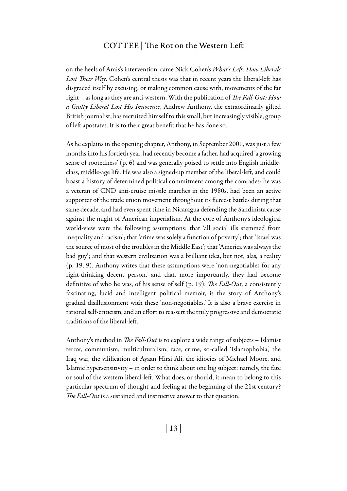on the heels of Amis's intervention, came Nick Cohen's *What's Left: How Liberals Lost Their Way*. Cohen's central thesis was that in recent years the liberal-left has disgraced itself by excusing, or making common cause with, movements of the far right – as long as they are anti-western. With the publication of *The Fall-Out: How a Guilty Liberal Lost His Innocence*, Andrew Anthony, the extraordinarily gifted British journalist, has recruited himself to this small, but increasingly visible, group of left apostates. It is to their great benefit that he has done so.

As he explains in the opening chapter, Anthony, in September 2001, was just a few months into his fortieth year, had recently become a father, had acquired 'a growing sense of rootedness' (p. 6) and was generally poised to settle into English middleclass, middle-age life. He was also a signed-up member of the liberal-left, and could boast a history of determined political commitment among the comrades: he was a veteran of CND anti-cruise missile marches in the 1980s, had been an active supporter of the trade union movement throughout its fiercest battles during that same decade, and had even spent time in Nicaragua defending the Sandinista cause against the might of American imperialism. At the core of Anthony's ideological world-view were the following assumptions: that 'all social ills stemmed from inequality and racism'; that 'crime was solely a function of poverty'; that 'Israel was the source of most of the troubles in the Middle East'; that 'America was always the bad guy'; and that western civilization was a brilliant idea, but not, alas, a reality (p. 19, 9). Anthony writes that these assumptions were 'non-negotiables for any right-thinking decent person,' and that, more importantly, they had become definitive of who he was, of his sense of self (p. 19). *The Fall-Out*, a consistently fascinating, lucid and intelligent political memoir, is the story of Anthony's gradual disillusionment with these 'non-negotiables.' It is also a brave exercise in rational self-criticism, and an effort to reassert the truly progressive and democratic traditions of the liberal-left.

Anthony's method in *The Fall-Out* is to explore a wide range of subjects – Islamist terror, communism, multiculturalism, race, crime, so-called 'Islamophobia,' the Iraq war, the vilification of Ayaan Hirsi Ali, the idiocies of Michael Moore, and Islamic hypersensitivity – in order to think about one big subject: namely, the fate or soul of the western liberal-left. What does, or should, it mean to belong to this particular spectrum of thought and feeling at the beginning of the 21st century? *The Fall-Out* is a sustained and instructive answer to that question.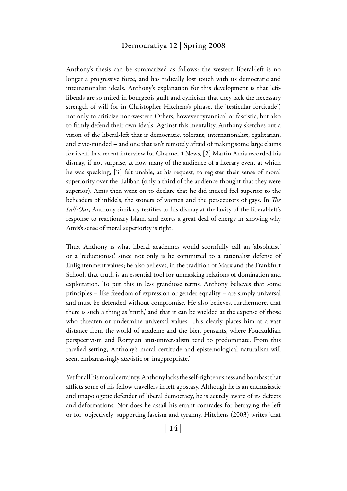Anthony's thesis can be summarized as follows: the western liberal-left is no longer a progressive force, and has radically lost touch with its democratic and internationalist ideals. Anthony's explanation for this development is that leftliberals are so mired in bourgeois guilt and cynicism that they lack the necessary strength of will (or in Christopher Hitchens's phrase, the 'testicular fortitude') not only to criticize non-western Others, however tyrannical or fascistic, but also to firmly defend their own ideals. Against this mentality, Anthony sketches out a vision of the liberal-left that is democratic, tolerant, internationalist, egalitarian, and civic-minded – and one that isn't remotely afraid of making some large claims for itself. In a recent interview for Channel 4 News, [2] Martin Amis recorded his dismay, if not surprise, at how many of the audience of a literary event at which he was speaking, [3] felt unable, at his request, to register their sense of moral superiority over the Taliban (only a third of the audience thought that they were superior). Amis then went on to declare that he did indeed feel superior to the beheaders of infidels, the stoners of women and the persecutors of gays. In *The Fall-Out*, Anthony similarly testifies to his dismay at the laxity of the liberal-left's response to reactionary Islam, and exerts a great deal of energy in showing why Amis's sense of moral superiority is right.

Thus, Anthony is what liberal academics would scornfully call an 'absolutist' or a 'reductionist,' since not only is he committed to a rationalist defense of Enlightenment values; he also believes, in the tradition of Marx and the Frankfurt School, that truth is an essential tool for unmasking relations of domination and exploitation. To put this in less grandiose terms, Anthony believes that some principles – like freedom of expression or gender equality – are simply universal and must be defended without compromise. He also believes, furthermore, that there is such a thing as 'truth,' and that it can be wielded at the expense of those who threaten or undermine universal values. This clearly places him at a vast distance from the world of academe and the bien pensants, where Foucauldian perspectivism and Rortyian anti-universalism tend to predominate. From this rarefied setting, Anthony's moral certitude and epistemological naturalism will seem embarrassingly atavistic or 'inappropriate.'

Yet for all his moral certainty, Anthony lacks the self-righteousness and bombast that afflicts some of his fellow travellers in left apostasy. Although he is an enthusiastic and unapologetic defender of liberal democracy, he is acutely aware of its defects and deformations. Nor does he assail his errant comrades for betraying the left or for 'objectively' supporting fascism and tyranny. Hitchens (2003) writes 'that

| 14 |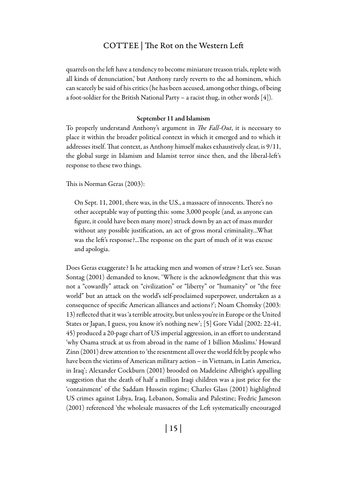quarrels on the left have a tendency to become miniature treason trials, replete with all kinds of denunciation,' but Anthony rarely reverts to the ad hominem, which can scarcely be said of his critics (he has been accused, among other things, of being a foot-soldier for the British National Party – a racist thug, in other words [4]).

### September 11 and Islamism

To properly understand Anthony's argument in *The Fall-Out*, it is necessary to place it within the broader political context in which it emerged and to which it addresses itself. That context, as Anthony himself makes exhaustively clear, is 9/11, the global surge in Islamism and Islamist terror since then, and the liberal-left's response to these two things.

This is Norman Geras (2003):

On Sept. 11, 2001, there was, in the U.S., a massacre of innocents. There's no other acceptable way of putting this: some 3,000 people (and, as anyone can figure, it could have been many more) struck down by an act of mass murder without any possible justification, an act of gross moral criminality…What was the left's response?...The response on the part of much of it was excuse and apologia.

Does Geras exaggerate? Is he attacking men and women of straw? Let's see. Susan Sontag (2001) demanded to know, 'Where is the acknowledgment that this was not a "cowardly" attack on "civilization" or "liberty" or "humanity" or "the free world" but an attack on the world's self-proclaimed superpower, undertaken as a consequence of specific American alliances and actions?'; Noam Chomsky (2003: 13) reflected that it was 'a terrible atrocity, but unless you're in Europe or the United States or Japan, I guess, you know it's nothing new'; [5] Gore Vidal (2002: 22-41, 45) produced a 20-page chart of US imperial aggression, in an effort to understand 'why Osama struck at us from abroad in the name of 1 billion Muslims.' Howard Zinn (2001) drew attention to 'the resentment all over the world felt by people who have been the victims of American military action – in Vietnam, in Latin America, in Iraq'; Alexander Cockburn (2001) brooded on Madeleine Albright's appalling suggestion that the death of half a million Iraqi children was a just price for the 'containment' of the Saddam Hussein regime; Charles Glass (2001) highlighted US crimes against Libya, Iraq, Lebanon, Somalia and Palestine; Fredric Jameson (2001) referenced 'the wholesale massacres of the Left systematically encouraged

| 15 |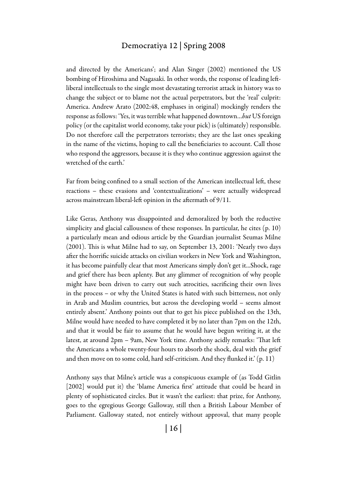and directed by the Americans'; and Alan Singer (2002) mentioned the US bombing of Hiroshima and Nagasaki. In other words, the response of leading leftliberal intellectuals to the single most devastating terrorist attack in history was to change the subject or to blame not the actual perpetrators, but the 'real' culprit: America. Andrew Arato (2002:48, emphases in original) mockingly renders the response as follows: 'Yes, it was terrible what happened downtown…*but* US foreign policy (or the capitalist world economy, take your pick) is (ultimately) responsible. Do not therefore call the perpetrators terrorists; they are the last ones speaking in the name of the victims, hoping to call the beneficiaries to account. Call those who respond the aggressors, because it is they who continue aggression against the wretched of the earth.'

Far from being confined to a small section of the American intellectual left, these reactions – these evasions and 'contextualizations' – were actually widespread across mainstream liberal-left opinion in the aftermath of 9/11.

Like Geras, Anthony was disappointed and demoralized by both the reductive simplicity and glacial callousness of these responses. In particular, he cites (p. 10) a particularly mean and odious article by the Guardian journalist Seumas Milne (2001). This is what Milne had to say, on September 13, 2001: 'Nearly two days after the horrific suicide attacks on civilian workers in New York and Washington, it has become painfully clear that most Americans simply don't get it...Shock, rage and grief there has been aplenty. But any glimmer of recognition of why people might have been driven to carry out such atrocities, sacrificing their own lives in the process – or why the United States is hated with such bitterness, not only in Arab and Muslim countries, but across the developing world – seems almost entirely absent.' Anthony points out that to get his piece published on the 13th, Milne would have needed to have completed it by no later than 7pm on the 12th, and that it would be fair to assume that he would have begun writing it, at the latest, at around 2pm – 9am, New York time. Anthony acidly remarks: 'That left the Americans a whole twenty-four hours to absorb the shock, deal with the grief and then move on to some cold, hard self-criticism. And they flunked it.' (p. 11)

Anthony says that Milne's article was a conspicuous example of (as Todd Gitlin [2002] would put it) the 'blame America first' attitude that could be heard in plenty of sophisticated circles. But it wasn't the earliest: that prize, for Anthony, goes to the egregious George Galloway, still then a British Labour Member of Parliament. Galloway stated, not entirely without approval, that many people

| 16 |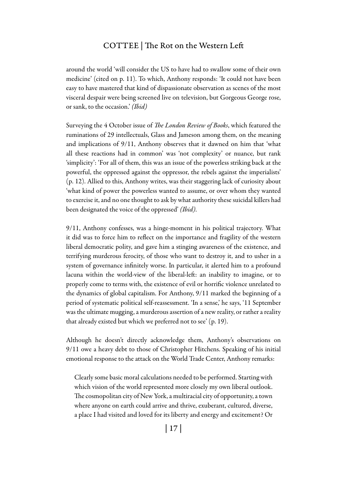around the world 'will consider the US to have had to swallow some of their own medicine' (cited on p. 11). To which, Anthony responds: 'It could not have been easy to have mastered that kind of dispassionate observation as scenes of the most visceral despair were being screened live on television, but Gorgeous George rose, or sank, to the occasion.' *(Ibid)*

Surveying the 4 October issue of *The London Review of Books*, which featured the ruminations of 29 intellectuals, Glass and Jameson among them, on the meaning and implications of 9/11, Anthony observes that it dawned on him that 'what all these reactions had in common' was 'not complexity' or nuance, but rank 'simplicity': 'For all of them, this was an issue of the powerless striking back at the powerful, the oppressed against the oppressor, the rebels against the imperialists' (p. 12). Allied to this, Anthony writes, was their staggering lack of curiosity about 'what kind of power the powerless wanted to assume, or over whom they wanted to exercise it, and no one thought to ask by what authority these suicidal killers had been designated the voice of the oppressed' *(Ibid)*.

9/11, Anthony confesses, was a hinge-moment in his political trajectory. What it did was to force him to reflect on the importance and fragility of the western liberal democratic polity, and gave him a stinging awareness of the existence, and terrifying murderous ferocity, of those who want to destroy it, and to usher in a system of governance infinitely worse. In particular, it alerted him to a profound lacuna within the world-view of the liberal-left: an inability to imagine, or to properly come to terms with, the existence of evil or horrific violence unrelated to the dynamics of global capitalism. For Anthony, 9/11 marked the beginning of a period of systematic political self-reassessment. 'In a sense,' he says, '11 September was the ultimate mugging, a murderous assertion of a new reality, or rather a reality that already existed but which we preferred not to see' (p. 19).

Although he doesn't directly acknowledge them, Anthony's observations on 9/11 owe a heavy debt to those of Christopher Hitchens. Speaking of his initial emotional response to the attack on the World Trade Center, Anthony remarks:

Clearly some basic moral calculations needed to be performed. Starting with which vision of the world represented more closely my own liberal outlook. The cosmopolitan city of New York, a multiracial city of opportunity, a town where anyone on earth could arrive and thrive, exuberant, cultured, diverse, a place I had visited and loved for its liberty and energy and excitement? Or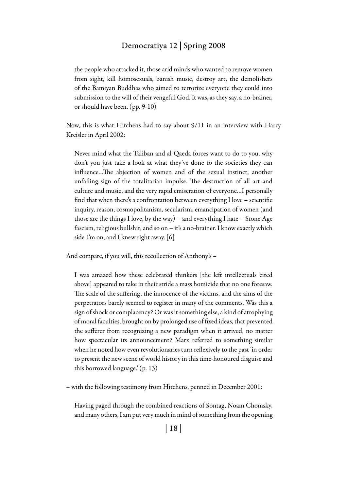the people who attacked it, those arid minds who wanted to remove women from sight, kill homosexuals, banish music, destroy art, the demolishers of the Bamiyan Buddhas who aimed to terrorize everyone they could into submission to the will of their vengeful God. It was, as they say, a no-brainer, or should have been. (pp. 9-10)

Now, this is what Hitchens had to say about 9/11 in an interview with Harry Kreisler in April 2002:

Never mind what the Taliban and al-Qaeda forces want to do to you, why don't you just take a look at what they've done to the societies they can influence…The abjection of women and of the sexual instinct, another unfailing sign of the totalitarian impulse. The destruction of all art and culture and music, and the very rapid emiseration of everyone…I personally find that when there's a confrontation between everything I love – scientific inquiry, reason, cosmopolitanism, secularism, emancipation of women (and those are the things I love, by the way) – and everything I hate – Stone Age fascism, religious bullshit, and so on – it's a no-brainer. I know exactly which side I'm on, and I knew right away. [6]

And compare, if you will, this recollection of Anthony's –

I was amazed how these celebrated thinkers [the left intellectuals cited above] appeared to take in their stride a mass homicide that no one foresaw. The scale of the suffering, the innocence of the victims, and the aims of the perpetrators barely seemed to register in many of the comments. Was this a sign of shock or complacency? Or was it something else, a kind of atrophying of moral faculties, brought on by prolonged use of fixed ideas, that prevented the sufferer from recognizing a new paradigm when it arrived, no matter how spectacular its announcement? Marx referred to something similar when he noted how even revolutionaries turn reflexively to the past 'in order to present the new scene of world history in this time-honoured disguise and this borrowed language.' (p. 13)

– with the following testimony from Hitchens, penned in December 2001:

Having paged through the combined reactions of Sontag, Noam Chomsky, and many others, I am put very much in mind of something from the opening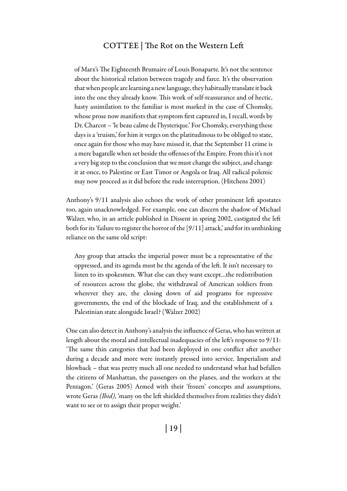of Marx's The Eighteenth Brumaire of Louis Bonaparte. It's not the sentence about the historical relation between tragedy and farce. It's the observation that when people are learning a new language, they habitually translate it back into the one they already know. This work of self-reassurance and of hectic, hasty assimilation to the familiar is most marked in the case of Chomsky, whose prose now manifests that symptom first captured in, I recall, words by Dr. Charcot – 'le beau calme de l'hysterique.' For Chomsky, everything these days is a 'truism,' for him it verges on the platitudinous to be obliged to state, once again for those who may have missed it, that the September 11 crime is a mere bagatelle when set beside the offenses of the Empire. From this it's not a very big step to the conclusion that we must change the subject, and change it at once, to Palestine or East Timor or Angola or Iraq. All radical polemic may now proceed as it did before the rude interruption. (Hitchens 2001)

Anthony's 9/11 analysis also echoes the work of other prominent left apostates too, again unacknowledged. For example, one can discern the shadow of Michael Walzer, who, in an article published in Dissent in spring 2002, castigated the left both for its 'failure to register the horror of the [9/11] attack,' and for its unthinking reliance on the same old script:

Any group that attacks the imperial power must be a representative of the oppressed, and its agenda must be the agenda of the left. It isn't necessary to listen to its spokesmen. What else can they want except…the redistribution of resources across the globe, the withdrawal of American soldiers from wherever they are, the closing down of aid programs for repressive governments, the end of the blockade of Iraq, and the establishment of a Palestinian state alongside Israel? (Walzer 2002)

One can also detect in Anthony's analysis the influence of Geras, who has written at length about the moral and intellectual inadequacies of the left's response to 9/11: 'The same thin categories that had been deployed in one conflict after another during a decade and more were instantly pressed into service. Imperialism and blowback – that was pretty much all one needed to understand what had befallen the citizens of Manhattan, the passengers on the planes, and the workers at the Pentagon.' (Geras 2005) Armed with their 'frozen' concepts and assumptions, wrote Geras *(Ibid)*, 'many on the left shielded themselves from realities they didn't want to see or to assign their proper weight.'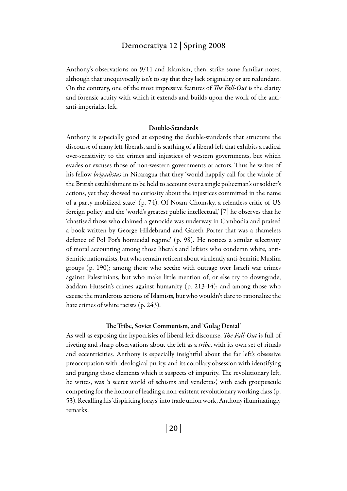Anthony's observations on 9/11 and Islamism, then, strike some familiar notes, although that unequivocally isn't to say that they lack originality or are redundant. On the contrary, one of the most impressive features of *The Fall-Out* is the clarity and forensic acuity with which it extends and builds upon the work of the antianti-imperialist left.

#### Double-Standards

Anthony is especially good at exposing the double-standards that structure the discourse of many left-liberals, and is scathing of a liberal-left that exhibits a radical over-sensitivity to the crimes and injustices of western governments, but which evades or excuses those of non-western governments or actors. Thus he writes of his fellow *brigadistas* in Nicaragua that they 'would happily call for the whole of the British establishment to be held to account over a single policeman's or soldier's actions, yet they showed no curiosity about the injustices committed in the name of a party-mobilized state' (p. 74). Of Noam Chomsky, a relentless critic of US foreign policy and the 'world's greatest public intellectual,' [7] he observes that he 'chastised those who claimed a genocide was underway in Cambodia and praised a book written by George Hildebrand and Gareth Porter that was a shameless defence of Pol Pot's homicidal regime' (p. 98). He notices a similar selectivity of moral accounting among those liberals and leftists who condemn white, anti-Semitic nationalists, but who remain reticent about virulently anti-Semitic Muslim groups (p. 190); among those who seethe with outrage over Israeli war crimes against Palestinians, but who make little mention of, or else try to downgrade, Saddam Hussein's crimes against humanity (p. 213-14); and among those who excuse the murderous actions of Islamists, but who wouldn't dare to rationalize the hate crimes of white racists (p. 243).

#### The Tribe, Soviet Communism, and 'Gulag Denial'

As well as exposing the hypocrisies of liberal-left discourse, *The Fall-Out* is full of riveting and sharp observations about the left as a *tribe*, with its own set of rituals and eccentricities. Anthony is especially insightful about the far left's obsessive preoccupation with ideological purity, and its corollary obsession with identifying and purging those elements which it suspects of impurity. The revolutionary left, he writes, was 'a secret world of schisms and vendettas,' with each groupuscule competing for the honour of leading a non-existent revolutionary working class (p. 53). Recalling his 'dispiriting forays' into trade union work, Anthony illuminatingly remarks: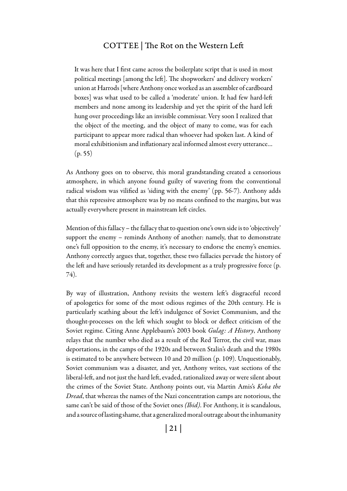It was here that I first came across the boilerplate script that is used in most political meetings [among the left]. The shopworkers' and delivery workers' union at Harrods [where Anthony once worked as an assembler of cardboard boxes] was what used to be called a 'moderate' union. It had few hard-left members and none among its leadership and yet the spirit of the hard left hung over proceedings like an invisible commissar. Very soon I realized that the object of the meeting, and the object of many to come, was for each participant to appear more radical than whoever had spoken last. A kind of moral exhibitionism and inflationary zeal informed almost every utterance… (p. 55)

As Anthony goes on to observe, this moral grandstanding created a censorious atmosphere, in which anyone found guilty of wavering from the conventional radical wisdom was vilified as 'siding with the enemy' (pp. 56-7). Anthony adds that this repressive atmosphere was by no means confined to the margins, but was actually everywhere present in mainstream left circles.

Mention of this fallacy – the fallacy that to question one's own side is to 'objectively' support the enemy – reminds Anthony of another: namely, that to demonstrate one's full opposition to the enemy, it's necessary to endorse the enemy's enemies. Anthony correctly argues that, together, these two fallacies pervade the history of the left and have seriously retarded its development as a truly progressive force (p. 74).

By way of illustration, Anthony revisits the western left's disgraceful record of apologetics for some of the most odious regimes of the 20th century. He is particularly scathing about the left's indulgence of Soviet Communism, and the thought-processes on the left which sought to block or deflect criticism of the Soviet regime. Citing Anne Applebaum's 2003 book *Gulag: A History*, Anthony relays that the number who died as a result of the Red Terror, the civil war, mass deportations, in the camps of the 1920s and between Stalin's death and the 1980s is estimated to be anywhere between 10 and 20 million (p. 109). Unquestionably, Soviet communism was a disaster, and yet, Anthony writes, vast sections of the liberal-left, and not just the hard left, evaded, rationalized away or were silent about the crimes of the Soviet State. Anthony points out, via Martin Amis's *Koba the Dread*, that whereas the names of the Nazi concentration camps are notorious, the same can't be said of those of the Soviet ones *(Ibid)*. For Anthony, it is scandalous, and a source of lasting shame, that a generalized moral outrage about the inhumanity

| 21 |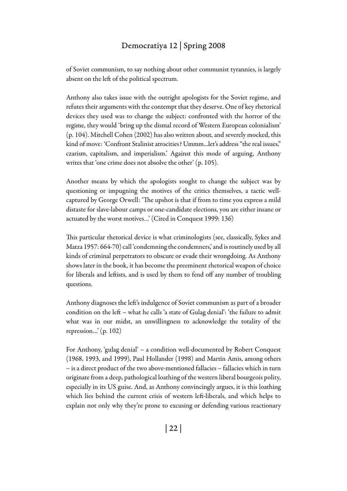of Soviet communism, to say nothing about other communist tyrannies, is largely absent on the left of the political spectrum.

Anthony also takes issue with the outright apologists for the Soviet regime, and refutes their arguments with the contempt that they deserve. One of key rhetorical devices they used was to change the subject: confronted with the horror of the regime, they would 'bring up the dismal record of Western European colonialism' (p. 104). Mitchell Cohen (2002) has also written about, and severely mocked, this kind of move: 'Confront Stalinist atrocities? Ummm...let's address "the real issues," czarism, capitalism, and imperialism.' Against this mode of arguing, Anthony writes that 'one crime does not absolve the other' (p. 105).

Another means by which the apologists sought to change the subject was by questioning or impugning the motives of the critics themselves, a tactic wellcaptured by George Orwell: 'The upshot is that if from to time you express a mild distaste for slave-labour camps or one-candidate elections, you are either insane or actuated by the worst motives…' (Cited in Conquest 1999: 136)

This particular rhetorical device is what criminologists (see, classically, Sykes and Matza 1957: 664-70) call 'condemning the condemners,' and is routinely used by all kinds of criminal perpetrators to obscure or evade their wrongdoing. As Anthony shows later in the book, it has become the preeminent rhetorical weapon of choice for liberals and leftists, and is used by them to fend off any number of troubling questions.

Anthony diagnoses the left's indulgence of Soviet communism as part of a broader condition on the left – what he calls 'a state of Gulag denial': 'the failure to admit what was in our midst, an unwillingness to acknowledge the totality of the repression…' (p. 102)

For Anthony, 'gulag denial' – a condition well-documented by Robert Conquest (1968, 1993, and 1999), Paul Hollander (1998) and Martin Amis, among others – is a direct product of the two above-mentioned fallacies – fallacies which in turn originate from a deep, pathological loathing of the western liberal bourgeois polity, especially in its US guise. And, as Anthony convincingly argues, it is this loathing which lies behind the current crisis of western left-liberals, and which helps to explain not only why they're prone to excusing or defending various reactionary

| 22 |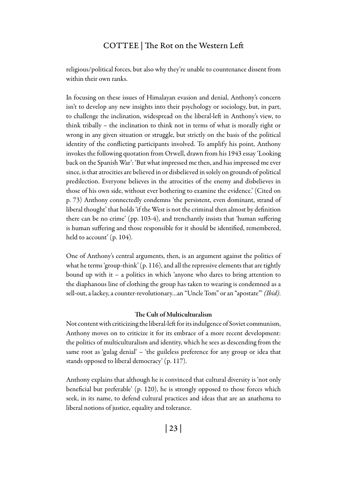religious/political forces, but also why they're unable to countenance dissent from within their own ranks.

In focusing on these issues of Himalayan evasion and denial, Anthony's concern isn't to develop any new insights into their psychology or sociology, but, in part, to challenge the inclination, widespread on the liberal-left in Anthony's view, to think tribally – the inclination to think not in terms of what is morally right or wrong in any given situation or struggle, but strictly on the basis of the political identity of the conflicting participants involved. To amplify his point, Anthony invokes the following quotation from Orwell, drawn from his 1943 essay 'Looking back on the Spanish War': 'But what impressed me then, and has impressed me ever since, is that atrocities are believed in or disbelieved in solely on grounds of political predilection. Everyone believes in the atrocities of the enemy and disbelieves in those of his own side, without ever bothering to examine the evidence.' (Cited on p. 73) Anthony connectedly condemns 'the persistent, even dominant, strand of liberal thought' that holds 'if the West is not the criminal then almost by definition there can be no crime' (pp. 103-4), and trenchantly insists that 'human suffering is human suffering and those responsible for it should be identified, remembered, held to account' (p. 104).

One of Anthony's central arguments, then, is an argument against the politics of what he terms 'group-think' (p. 116), and all the repressive elements that are tightly bound up with it – a politics in which 'anyone who dares to bring attention to the diaphanous line of clothing the group has taken to wearing is condemned as a sell-out, a lackey, a counter-revolutionary…an "Uncle Tom" or an "apostate"' *(Ibid)*.

### The Cult of Multiculturalism

Not content with criticizing the liberal-left for its indulgence of Soviet communism, Anthony moves on to criticize it for its embrace of a more recent development: the politics of multiculturalism and identity, which he sees as descending from the same root as 'gulag denial' – 'the guileless preference for any group or idea that stands opposed to liberal democracy' (p. 117).

Anthony explains that although he is convinced that cultural diversity is 'not only beneficial but preferable' (p. 120), he is strongly opposed to those forces which seek, in its name, to defend cultural practices and ideas that are an anathema to liberal notions of justice, equality and tolerance.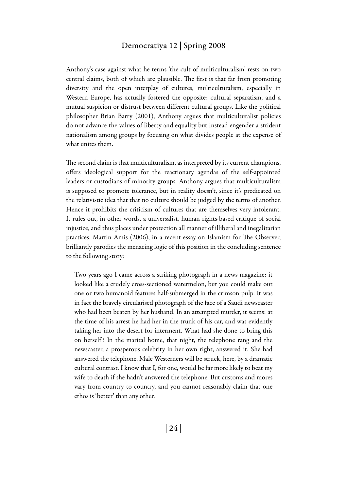Anthony's case against what he terms 'the cult of multiculturalism' rests on two central claims, both of which are plausible. The first is that far from promoting diversity and the open interplay of cultures, multiculturalism, especially in Western Europe, has actually fostered the opposite: cultural separatism, and a mutual suspicion or distrust between different cultural groups. Like the political philosopher Brian Barry (2001), Anthony argues that multiculturalist policies do not advance the values of liberty and equality but instead engender a strident nationalism among groups by focusing on what divides people at the expense of what unites them.

The second claim is that multiculturalism, as interpreted by its current champions, offers ideological support for the reactionary agendas of the self-appointed leaders or custodians of minority groups. Anthony argues that multiculturalism is supposed to promote tolerance, but in reality doesn't, since it's predicated on the relativistic idea that that no culture should be judged by the terms of another. Hence it prohibits the criticism of cultures that are themselves very intolerant. It rules out, in other words, a universalist, human rights-based critique of social injustice, and thus places under protection all manner of illiberal and inegalitarian practices. Martin Amis (2006), in a recent essay on Islamism for The Observer, brilliantly parodies the menacing logic of this position in the concluding sentence to the following story:

Two years ago I came across a striking photograph in a news magazine: it looked like a crudely cross-sectioned watermelon, but you could make out one or two humanoid features half-submerged in the crimson pulp. It was in fact the bravely circularised photograph of the face of a Saudi newscaster who had been beaten by her husband. In an attempted murder, it seems: at the time of his arrest he had her in the trunk of his car, and was evidently taking her into the desert for interment. What had she done to bring this on herself ? In the marital home, that night, the telephone rang and the newscaster, a prosperous celebrity in her own right, answered it. She had answered the telephone. Male Westerners will be struck, here, by a dramatic cultural contrast. I know that I, for one, would be far more likely to beat my wife to death if she hadn't answered the telephone. But customs and mores vary from country to country, and you cannot reasonably claim that one ethos is 'better' than any other.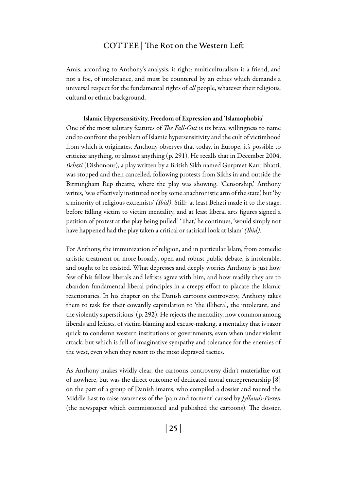Amis, according to Anthony's analysis, is right: multiculturalism is a friend, and not a foe, of intolerance, and must be countered by an ethics which demands a universal respect for the fundamental rights of *all* people, whatever their religious, cultural or ethnic background.

Islamic Hypersensitivity, Freedom of Expression and 'Islamophobia' One of the most salutary features of *The Fall-Out* is its brave willingness to name and to confront the problem of Islamic hypersensitivity and the cult of victimhood from which it originates. Anthony observes that today, in Europe, it's possible to criticize anything, or almost anything (p. 291). He recalls that in December 2004, *Behzti* (Dishonour), a play written by a British Sikh named Gurpreet Kaur Bhatti, was stopped and then cancelled, following protests from Sikhs in and outside the Birmingham Rep theatre, where the play was showing. 'Censorship,' Anthony writes, 'was effectively instituted not by some anachronistic arm of the state,' but 'by a minority of religious extremists' *(Ibid)*. Still: 'at least Behzti made it to the stage, before falling victim to victim mentality, and at least liberal arts figures signed a petition of protest at the play being pulled.' 'That,' he continues, 'would simply not have happened had the play taken a critical or satirical look at Islam' *(Ibid)*.

For Anthony, the immunization of religion, and in particular Islam, from comedic artistic treatment or, more broadly, open and robust public debate, is intolerable, and ought to be resisted. What depresses and deeply worries Anthony is just how few of his fellow liberals and leftists agree with him, and how readily they are to abandon fundamental liberal principles in a creepy effort to placate the Islamic reactionaries. In his chapter on the Danish cartoons controversy, Anthony takes them to task for their cowardly capitulation to 'the illiberal, the intolerant, and the violently superstitious' (p. 292). He rejects the mentality, now common among liberals and leftists, of victim-blaming and excuse-making, a mentality that is razor quick to condemn western institutions or governments, even when under violent attack, but which is full of imaginative sympathy and tolerance for the enemies of the west, even when they resort to the most depraved tactics.

As Anthony makes vividly clear, the cartoons controversy didn't materialize out of nowhere, but was the direct outcome of dedicated moral entrepreneurship [8] on the part of a group of Danish imams, who compiled a dossier and toured the Middle East to raise awareness of the 'pain and torment' caused by *Jyllands-Posten*  (the newspaper which commissioned and published the cartoons). The dossier,

| 25 |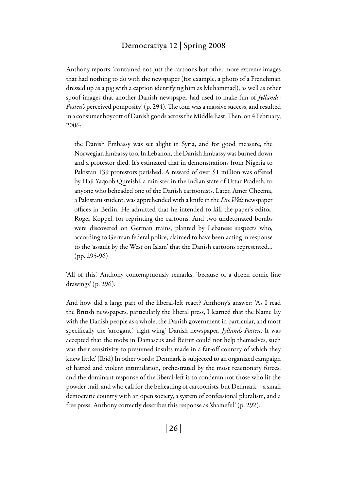Anthony reports, 'contained not just the cartoons but other more extreme images that had nothing to do with the newspaper (for example, a photo of a Frenchman dressed up as a pig with a caption identifying him as Muhammad), as well as other spoof images that another Danish newspaper had used to make fun of *Jyllands-Posten's* perceived pomposity' (p. 294). The tour was a massive success, and resulted in a consumer boycott of Danish goods across the Middle East. Then, on 4 February, 2006:

the Danish Embassy was set alight in Syria, and for good measure, the Norwegian Embassy too. In Lebanon, the Danish Embassy was burned down and a protestor died. It's estimated that in demonstrations from Nigeria to Pakistan 139 protestors perished. A reward of over \$1 million was offered by Haji Yaqoob Qureishi, a minister in the Indian state of Uttar Pradesh, to anyone who beheaded one of the Danish cartoonists. Later, Amer Cheema, a Pakistani student, was apprehended with a knife in the *Die Welt* newspaper offices in Berlin. He admitted that he intended to kill the paper's editor, Roger Koppel, for reprinting the cartoons. And two undetonated bombs were discovered on German trains, planted by Lebanese suspects who, according to German federal police, claimed to have been acting in response to the 'assault by the West on Islam' that the Danish cartoons represented… (pp. 295-96)

'All of this,' Anthony contemptuously remarks, 'because of a dozen comic line drawings' (p. 296).

And how did a large part of the liberal-left react? Anthony's answer: 'As I read the British newspapers, particularly the liberal press, I learned that the blame lay with the Danish people as a whole, the Danish government in particular, and most specifically the 'arrogant,' 'right-wing' Danish newspaper, *Jyllands-Posten*. It was accepted that the mobs in Damascus and Beirut could not help themselves, such was their sensitivity to presumed insults made in a far-off country of which they knew little.' (Ibid) In other words: Denmark is subjected to an organized campaign of hatred and violent intimidation, orchestrated by the most reactionary forces, and the dominant response of the liberal-left is to condemn not those who lit the powder trail, and who call for the beheading of cartoonists, but Denmark – a small democratic country with an open society, a system of confessional pluralism, and a free press. Anthony correctly describes this response as 'shameful' (p. 292).

| 26 |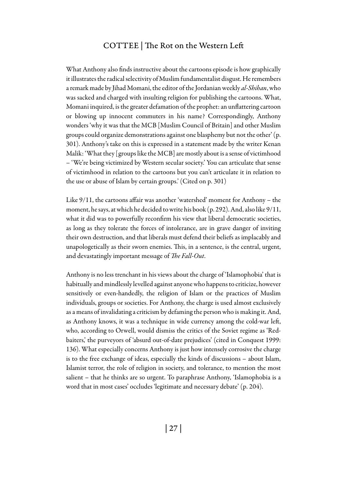What Anthony also finds instructive about the cartoons episode is how graphically it illustrates the radical selectivity of Muslim fundamentalist disgust. He remembers a remark made by Jihad Momani, the editor of the Jordanian weekly *al-Shihan*, who was sacked and charged with insulting religion for publishing the cartoons. What, Momani inquired, is the greater defamation of the prophet: an unflattering cartoon or blowing up innocent commuters in his name? Correspondingly, Anthony wonders 'why it was that the MCB [Muslim Council of Britain] and other Muslim groups could organize demonstrations against one blasphemy but not the other' (p. 301). Anthony's take on this is expressed in a statement made by the writer Kenan Malik: 'What they [groups like the MCB] are mostly about is a sense of victimhood – 'We're being victimized by Western secular society.' You can articulate that sense of victimhood in relation to the cartoons but you can't articulate it in relation to the use or abuse of Islam by certain groups.' (Cited on p. 301)

Like 9/11, the cartoons affair was another 'watershed' moment for Anthony – the moment, he says, at which he decided to write his book (p. 292). And, also like 9/11, what it did was to powerfully reconfirm his view that liberal democratic societies, as long as they tolerate the forces of intolerance, are in grave danger of inviting their own destruction, and that liberals must defend their beliefs as implacably and unapologetically as their sworn enemies. This, in a sentence, is the central, urgent, and devastatingly important message of *The Fall-Out*.

Anthony is no less trenchant in his views about the charge of 'Islamophobia' that is habitually and mindlessly levelled against anyone who happens to criticize, however sensitively or even-handedly, the religion of Islam or the practices of Muslim individuals, groups or societies. For Anthony, the charge is used almost exclusively as a means of invalidating a criticism by defaming the person who is making it. And, as Anthony knows, it was a technique in wide currency among the cold-war left, who, according to Orwell, would dismiss the critics of the Soviet regime as 'Redbaiters,' the purveyors of 'absurd out-of-date prejudices' (cited in Conquest 1999: 136). What especially concerns Anthony is just how intensely corrosive the charge is to the free exchange of ideas, especially the kinds of discussions – about Islam, Islamist terror, the role of religion in society, and tolerance, to mention the most salient – that he thinks are so urgent. To paraphrase Anthony, 'Islamophobia is a word that in most cases' occludes 'legitimate and necessary debate' (p. 204).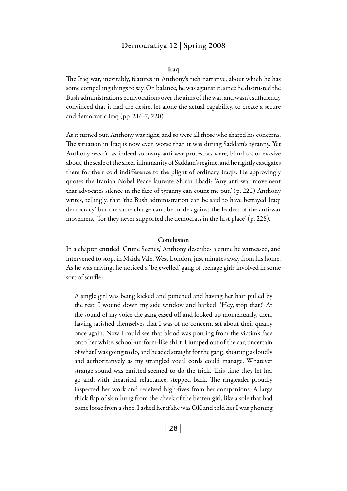### Iraq

The Iraq war, inevitably, features in Anthony's rich narrative, about which he has some compelling things to say. On balance, he was against it, since he distrusted the Bush administration's equivocations over the aims of the war, and wasn't sufficiently convinced that it had the desire, let alone the actual capability, to create a secure and democratic Iraq (pp. 216-7, 220).

As it turned out, Anthony was right, and so were all those who shared his concerns. The situation in Iraq is now even worse than it was during Saddam's tyranny. Yet Anthony wasn't, as indeed so many anti-war protestors were, blind to, or evasive about, the scale of the sheer inhumanity of Saddam's regime, and he rightly castigates them for their cold indifference to the plight of ordinary Iraqis. He approvingly quotes the Iranian Nobel Peace laureate Shirin Ebadi: 'Any anti-war movement that advocates silence in the face of tyranny can count me out.' (p. 222) Anthony writes, tellingly, that 'the Bush administration can be said to have betrayed Iraqi democracy,' but the same charge can't be made against the leaders of the anti-war movement, 'for they never supported the democrats in the first place' (p. 228).

### Conclusion

In a chapter entitled 'Crime Scenes,' Anthony describes a crime he witnessed, and intervened to stop, in Maida Vale, West London, just minutes away from his home. As he was driving, he noticed a 'bejewelled' gang of teenage girls involved in some sort of scuffle:

A single girl was being kicked and punched and having her hair pulled by the rest. I wound down my side window and barked: 'Hey, stop that!' At the sound of my voice the gang eased off and looked up momentarily, then, having satisfied themselves that I was of no concern, set about their quarry once again. Now I could see that blood was pouring from the victim's face onto her white, school-uniform-like shirt. I jumped out of the car, uncertain of what I was going to do, and headed straight for the gang, shouting as loudly and authoritatively as my strangled vocal cords could manage. Whatever strange sound was emitted seemed to do the trick. This time they let her go and, with theatrical reluctance, stepped back. The ringleader proudly inspected her work and received high-fives from her companions. A large thick flap of skin hung from the cheek of the beaten girl, like a sole that had come loose from a shoe. I asked her if she was OK and told her I was phoning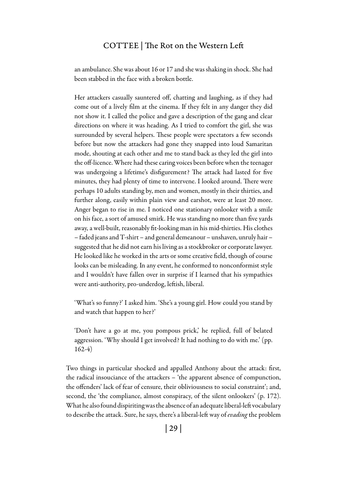an ambulance. She was about 16 or 17 and she was shaking in shock. She had been stabbed in the face with a broken bottle.

Her attackers casually sauntered off, chatting and laughing, as if they had come out of a lively film at the cinema. If they felt in any danger they did not show it. I called the police and gave a description of the gang and clear directions on where it was heading. As I tried to comfort the girl, she was surrounded by several helpers. These people were spectators a few seconds before but now the attackers had gone they snapped into loud Samaritan mode, shouting at each other and me to stand back as they led the girl into the off-licence. Where had these caring voices been before when the teenager was undergoing a lifetime's disfigurement? The attack had lasted for five minutes, they had plenty of time to intervene. I looked around. There were perhaps 10 adults standing by, men and women, mostly in their thirties, and further along, easily within plain view and earshot, were at least 20 more. Anger began to rise in me. I noticed one stationary onlooker with a smile on his face, a sort of amused smirk. He was standing no more than five yards away, a well-built, reasonably fit-looking man in his mid-thirties. His clothes – faded jeans and T-shirt – and general demeanour – unshaven, unruly hair – suggested that he did not earn his living as a stockbroker or corporate lawyer. He looked like he worked in the arts or some creative field, though of course looks can be misleading. In any event, he conformed to nonconformist style and I wouldn't have fallen over in surprise if I learned that his sympathies were anti-authority, pro-underdog, leftish, liberal.

'What's so funny?' I asked him. 'She's a young girl. How could you stand by and watch that happen to her?'

'Don't have a go at me, you pompous prick,' he replied, full of belated aggression. 'Why should I get involved? It had nothing to do with me.' (pp. 162-4)

Two things in particular shocked and appalled Anthony about the attack: first, the radical insouciance of the attackers – 'the apparent absence of compunction, the offenders' lack of fear of censure, their obliviousness to social constraint'; and, second, the 'the compliance, almost conspiracy, of the silent onlookers' (p. 172). What he also found dispiriting was the absence of an adequate liberal-left vocabulary to describe the attack. Sure, he says, there's a liberal-left way of *evading* the problem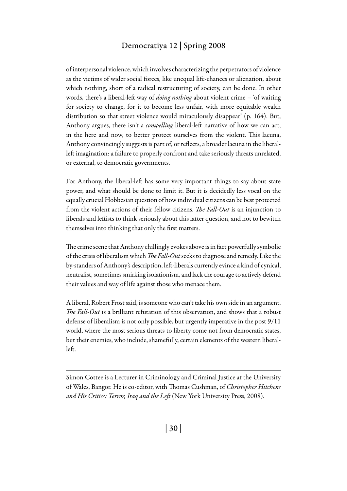of interpersonal violence, which involves characterizing the perpetrators of violence as the victims of wider social forces, like unequal life-chances or alienation, about which nothing, short of a radical restructuring of society, can be done. In other words, there's a liberal-left way of *doing nothing* about violent crime – 'of waiting for society to change, for it to become less unfair, with more equitable wealth distribution so that street violence would miraculously disappear' (p. 164). But, Anthony argues, there isn't a *compelling* liberal-left narrative of how we can act, in the here and now, to better protect ourselves from the violent. This lacuna, Anthony convincingly suggests is part of, or reflects, a broader lacuna in the liberalleft imagination: a failure to properly confront and take seriously threats unrelated, or external, to democratic governments.

For Anthony, the liberal-left has some very important things to say about state power, and what should be done to limit it. But it is decidedly less vocal on the equally crucial Hobbesian question of how individual citizens can be best protected from the violent actions of their fellow citizens. *The Fall-Out* is an injunction to liberals and leftists to think seriously about this latter question, and not to bewitch themselves into thinking that only the first matters.

The crime scene that Anthony chillingly evokes above is in fact powerfully symbolic of the crisis of liberalism which *The Fall-Out* seeks to diagnose and remedy. Like the by-standers of Anthony's description, left-liberals currently evince a kind of cynical, neutralist, sometimes smirking isolationism, and lack the courage to actively defend their values and way of life against those who menace them.

A liberal, Robert Frost said, is someone who can't take his own side in an argument. *The Fall-Out* is a brilliant refutation of this observation, and shows that a robust defense of liberalism is not only possible, but urgently imperative in the post 9/11 world, where the most serious threats to liberty come not from democratic states, but their enemies, who include, shamefully, certain elements of the western liberalleft.

Simon Cottee is a Lecturer in Criminology and Criminal Justice at the University of Wales, Bangor. He is co-editor, with Thomas Cushman, of *Christopher Hitchens and His Critics: Terror, Iraq and the Left* (New York University Press, 2008).